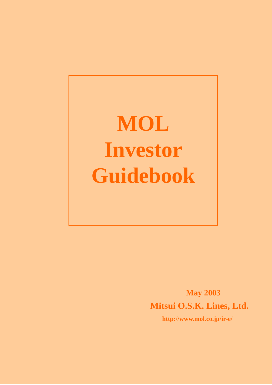**MOL Investor Guidebook** 

> **May 2003 Mitsui O.S.K. Lines, Ltd.**

> > **http://www.mol.co.jp/ir-e/**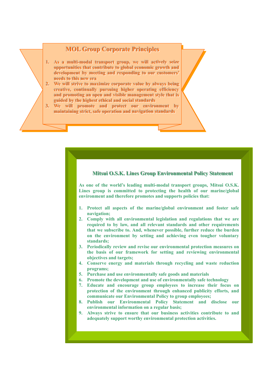### **MOL Group Corporate Principles**

- **1.** . As a multi-modal transport group, we will actively seize opportunities that contribute to global economic growth and development by meeting and responding to our customers' **needs** to this new era
- 2. We will strive to maximize corporate value by always being creative, continually pursuing higher operating efficiency and promoting an open and visible management style that is guided by the highest ethical and social standards
- **3.** . We will promote and protect our environment by maintaining strict, safe operation and navigation standards

### Mitsui O.S.K. Lines Group Environmental Policy Statement

**As one of the world's leading multi-modal transport groups, Mitsui O.S.K. Lines group is committed to protecting the health of our marine/global environment and therefore promotes and supports policies that:**

- **1. Protect all aspects of the marine/global environment and foster safe navigation;**
- **2. Comply with all environmental legislation and regulations that we are required to by law, and all relevant standards and other requirements that we subscribe to. And, whenever possible, further reduce the burden on the environment by setting and achieving even tougher voluntary standards;**
- **3. Periodically review and revise our environmental protection measures on the basis of our framework for setting and reviewing environmental objectives and targets;**
- **4. Conserve energy and materials through recycling and waste reduction programs;**
- **5. Purchase and use environmentally safe goods and materials**
- **6. Promote the development and use of environmentally safe technology**
- **7. Educate and encourage group employees to increase their focus on protection of the environment through enhanced publicity efforts, and communicate our Environmental Policy to group employees;**
- **8. Publish our Environmental Policy Statement and disclose our environmental information on a regular basis;**
- **9. Always strive to ensure that our business activities contribute to and adequately support worthy environmental protection activities.**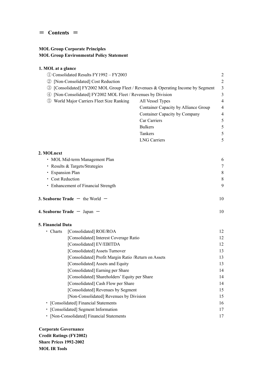#### $=$  **Contents**  $=$

### **MOL Group Corporate Principles MOL Group Environmental Policy Statement**

### **1. MOL at a glance**

| 1) Consolidated Results FY1992 – FY2003                                               |                                      | 2              |
|---------------------------------------------------------------------------------------|--------------------------------------|----------------|
| 2 [Non-Consolidated] Cost Reduction                                                   |                                      | 2              |
| [Consolidated] FY2002 MOL Group Fleet / Revenues & Operating Income by Segment<br>(3) |                                      | 3              |
| [Non-Consolidated] FY2002 MOL Fleet / Revenues by Division<br>(4)                     |                                      | 3              |
| World Major Carriers Fleet Size Ranking<br>(5)                                        | All Vessel Types                     | 4              |
|                                                                                       | Container Capacity by Alliance Group | 4              |
|                                                                                       | Container Capacity by Company        | $\overline{4}$ |
|                                                                                       | Car Carriers                         | 5              |
|                                                                                       | <b>Bulkers</b>                       | 5              |
|                                                                                       | Tankers                              | 5              |
|                                                                                       | <b>LNG Carriers</b>                  | 5              |
|                                                                                       |                                      |                |

| 2. MOLnext                                 |    |
|--------------------------------------------|----|
| • MOL Mid-term Management Plan             | 6  |
| • Results & Targets/Strategies             | 7  |
| • Expansion Plan                           | 8  |
| • Cost Reduction                           | 8  |
| • Enhancement of Financial Strength        | 9  |
| <b>3. Seaborne Trade</b> $-$ the World $-$ | 10 |

| 4. Seaborne Trade $-$ Japan $-$ |  |  |
|---------------------------------|--|--|
|                                 |  |  |

#### **5. Financial Data**

| Charts                                | [Consolidated] ROE/ROA                                | 12 |  |  |  |  |
|---------------------------------------|-------------------------------------------------------|----|--|--|--|--|
|                                       | [Consolidated] Interest Coverage Ratio                | 12 |  |  |  |  |
|                                       | [Consolidated] EV/EBITDA                              | 12 |  |  |  |  |
|                                       | [Consolidated] Assets Turnover                        | 13 |  |  |  |  |
|                                       | [Consolidated] Profit Margin Ratio / Return on Assets | 13 |  |  |  |  |
|                                       | [Consolidated] Assets and Equity                      | 13 |  |  |  |  |
|                                       | 14                                                    |    |  |  |  |  |
|                                       | 14                                                    |    |  |  |  |  |
|                                       | [Consolidated] Cash Flow per Share                    | 14 |  |  |  |  |
|                                       | [Consolidated] Revenues by Segment                    | 15 |  |  |  |  |
|                                       | [Non-Consolidated] Revenues by Division               | 15 |  |  |  |  |
| • [Consolidated] Financial Statements | 16                                                    |    |  |  |  |  |
|                                       | [Consolidated] Segment Information                    |    |  |  |  |  |
|                                       | • [Non-Consolidated] Financial Statements             |    |  |  |  |  |

**Corporate Governance Credit Ratings (FY2002) Share Prices 1992-2002 MOL IR Tools**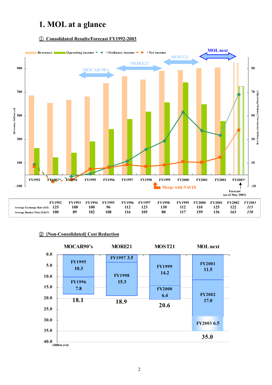# **1. MOL at a glance**

#### ① **Consolidated Results/Forecast FY1992-2003**



#### ② **[Non-Consolidated] Cost Reduction**

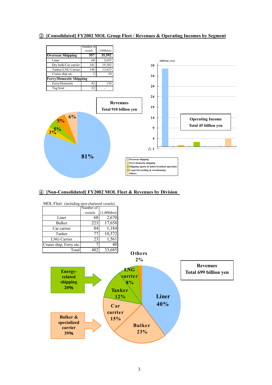#### ③ **[Consolidated] FY2002 MOL Group Fleet / Revenues & Operating Incomes by Segment**



#### ④ **[Non-Consolidated] FY2002 MOL Fleet & Revenues by Division**

| MOL Fleet (including spot-chartered vessels) |           |                      |  |  |  |  |  |  |
|----------------------------------------------|-----------|----------------------|--|--|--|--|--|--|
|                                              | Number of |                      |  |  |  |  |  |  |
|                                              | vessels   | $(1,000 \text{dwt})$ |  |  |  |  |  |  |
| Liner                                        | 68        | 2,670                |  |  |  |  |  |  |
| Bulker                                       | 223       | 17,658               |  |  |  |  |  |  |
| Car carrier                                  | 84        | 1,184                |  |  |  |  |  |  |
| Tanker                                       |           | 10,572               |  |  |  |  |  |  |
| <b>LNG Carrier</b>                           | 23        | 1,561                |  |  |  |  |  |  |
| Cruise ship, Ferry etc.                      |           |                      |  |  |  |  |  |  |
| Total                                        |           | 33,685               |  |  |  |  |  |  |

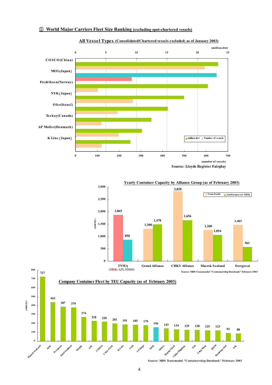#### ⑤ **World Major Carriers Fleet Size Ranking (excluding spot-chartered vessels)**



#### **All Vessel Types (Consolidated/Chartered vessels excluded; as of January 2003)**







**Source: MDS Transmodal "Containership Databank" February 2003**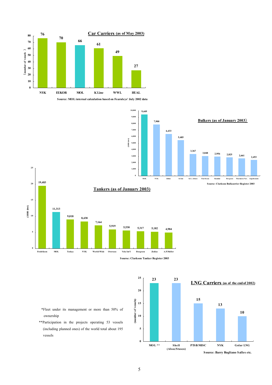

**Source: MOL internal calculation based on Fearnleys' July 2002 data**













- \*Fleet under its management or more than 50% of ownership
- \*\*Participation in the projects operating 53 vessels (including planned ones) of the world total about 195 vessels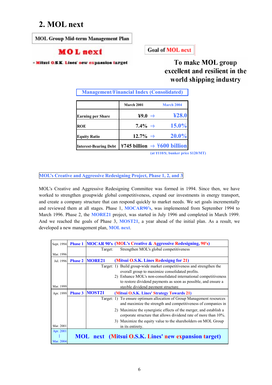# **2. MOL next**

**MOL Group Mid-term Management Plan** 

## **MOL** next

**Goal of MOL next** 

**Milsui O.S.K. Lines' new expansion larget** 

To make MOL group excellent and resilient in the world shipping industry

| <b>Management/Financial Index (Consolidated)</b> |                                         |            |  |  |  |  |  |  |
|--------------------------------------------------|-----------------------------------------|------------|--|--|--|--|--|--|
|                                                  | March 2001                              | March 2004 |  |  |  |  |  |  |
| <b>Earning per Share</b>                         | ¥9.0 $\Rightarrow$                      | 428.0      |  |  |  |  |  |  |
| <b>ROE</b>                                       | $7.4\% \Rightarrow$                     | $15.0\%$   |  |  |  |  |  |  |
| <b>Equity Ratio</b>                              | $12.7\% \Rightarrow$                    | $20.0\%$   |  |  |  |  |  |  |
| <b>Interest-Bearing Debt</b>                     | ¥745 billion $\Rightarrow$ ¥600 billion |            |  |  |  |  |  |  |

**(at** \**110/\$; bunker price \$120/MT)**

**MOL's Creative and Aggressive Redesigning Project, Phase 1, 2, and 3** 

MOL's Creative and Aggressive Redesigning Committee was formed in 1994. Since then, we have worked to strengthen groupwide global competitiveness, expand our investments in energy transport, and create a company structure that can respond quickly to market needs. We set goals incrementally and reviewed them at all stages. Phase 1, **MOCAR90's**, was implemented from September 1994 to March 1996. Phase 2, the **MORE21** project, was started in July 1996 and completed in March 1999. And we reached the goals of Phase 3, **MOST21**, a year ahead of the initial plan. As a result, we developed a new management plan, **MOL next**.

| Sept. 1994 | <b>Phase 1</b> |               | <b>MOCAR 90's (MOL's Creative &amp; Aggressive Redesigning, 90's)</b>                                                                 |
|------------|----------------|---------------|---------------------------------------------------------------------------------------------------------------------------------------|
|            |                | Target:       | Strengthen MOL's global competitiveness                                                                                               |
| Mar. 1996  |                |               |                                                                                                                                       |
| Jul. 1996  | <b>Phase 2</b> | <b>MORE21</b> | (Mitsui O.S.K. Lines Redesigng for 21)                                                                                                |
|            |                |               | Target: 1) Build group-wide market competitiveness and strengthen the                                                                 |
|            |                |               | overall group to maximize consolidated profits.                                                                                       |
|            |                |               | 2) Enhance MOL's non-consolidated international competitiveness                                                                       |
|            |                |               | to restore dividend payments as soon as possible, and ensure a                                                                        |
| Mar. 1999  |                |               | stayble dividend payment structure.                                                                                                   |
| Apr. 1999  | <b>Phase 3</b> | <b>MOST21</b> | (Mitsui O.S.K. Lines' Strategy Towards 21)                                                                                            |
|            |                |               | Target: 1) To ensure optimum allocation of Group Management resources                                                                 |
|            |                |               | and maximize the strength and competitiveness of companies in                                                                         |
|            |                |               | 2) Maximize the synergistic effects of the merger, and establish a<br>corporate structure that allows dividend rate of more than 10%. |
|            |                |               |                                                                                                                                       |
| Mar. 2001  |                |               | 3) Maximize the equity value to the shareholders on MOL Group                                                                         |
|            |                |               | in its entirety.                                                                                                                      |
| Apr. 2001  |                |               |                                                                                                                                       |
|            |                |               | <b>MOL</b> next (Mitsui O.S.K. Lines' new expansion target)                                                                           |
| Mar. 2004  |                |               |                                                                                                                                       |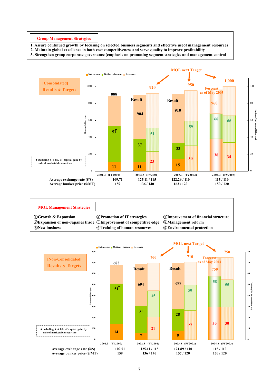**Group Management Strategies** 

- **1. Assure continued growth by focusing on selected business segments and effecitive useof management resources**
- **2. Maintain global excellence in both cost competitiveness and serve quality to improve profitability**

**3. Strengthen group corporate governance (emphasis on promoting segment strategies and management control** 



#### **MOL Management Strategies**

**Expansion of non-Japanes trade** ⑤**Improvement of competitive edge** ⑧**Management reform New business** ⑥**Training of human resourves** ⑨**Environmental protection** 

**Growth & Expansion** ④**Promotion of IT strategies** ⑦**Improvement of financial structure**

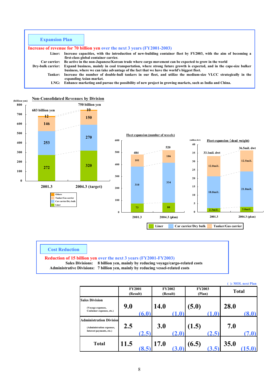| <b>Expansion Plan</b> |                                                                                                                     |
|-----------------------|---------------------------------------------------------------------------------------------------------------------|
|                       | <b>Increase of revenue for 70 billion yen over the next 3 years (FY2001-2003)</b>                                   |
| Liner:                | Increase capacities, with the introduction of new-building container fleet by FY2003, with the aim of becoming a    |
|                       | first-class global container carrier.                                                                               |
| <b>Car carrier:</b>   | Be active in the non-Japanese/Korean trade where cargo movement can be expected to grow in the world                |
| Dry-bulk carrier:     | Expand business, mainly in coal transportation, where strong future growth is expected, and in the cape-size bulker |
|                       | business, where we can take advantage of the fact that we have the world's biggest fleet.                           |
| <b>Tanker:</b>        | Increase the number of double-hull tankers in our fleet, and utilize the medium-size VLCC strategically in the      |
|                       | expanding Asian market.                                                                                             |
| LNG:                  | Enhance marketing and pursue the possibility of new project in growing markets, such as India and China.            |



#### **Cost Reduction**

#### **Reduction of 15 billion yen over the next 3 years (FY2001-FY2003)**

 **Sales Divisions: 8 billion yen, mainly by reducing voyage/cargo-related costs Administrative Divisions: 7 billion yen, mainly by reducing vessel-related costs** 

|                                                                                         |                           |                           |                         | ( ): MOL next Plan |
|-----------------------------------------------------------------------------------------|---------------------------|---------------------------|-------------------------|--------------------|
|                                                                                         | <b>FY2001</b><br>(Result) | <b>FY2002</b><br>(Result) | <b>FY2003</b><br>(Plan) | <b>Total</b>       |
| <b>Sales Division</b><br>(Voyage expenses,<br>Container expenses, etc.)                 | 9.0<br>(6.0)              | <b>14.0</b><br>(1.0)      | (5.0)<br>(1.0)          | 28.0<br>(8.0)      |
| <b>Administration Division</b><br>(Administration expenses,<br>Interest payments, etc.) | 2.5<br>(2.5)              | 3.0<br>(2.0)              | (1.5)<br>(2.5)          | 7.0<br>(7.0)       |
| <b>Total</b>                                                                            | <b>11.5</b>               | <b>17.0</b>               | (6.5)                   | 35.0               |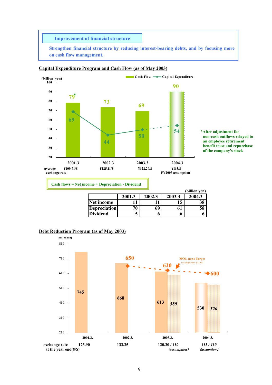**Improvement of financial structure**

**Strengthen financial structure by reducing interest-bearing debts, and by focusing more on cash flow management.** 



#### **Capital Expenditure Program and Cash Flow (as of May 2003)**

**\*After adjustment for non-cash outflows relayed to an employee retirement benefit trust and repurchase of the company's stock** 

**Cash flows = Net income + Depreciation - Dividend** 

|                     |        |        |        | (billion yen) |
|---------------------|--------|--------|--------|---------------|
|                     | 2001.3 | 2002.3 | 2003.3 | 2004.3        |
| Net income          |        |        | 15     | 38            |
| <b>Depreciation</b> | 70     | 69     | 61     | 58            |
| <b>Dividend</b>     |        |        |        |               |

#### **Debt Reduction Program (as of May 2003)**

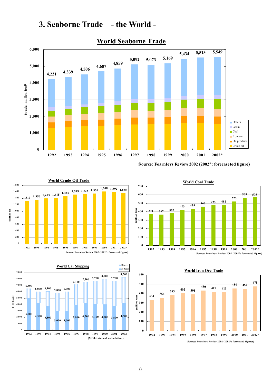



## **World Seaborne Trade**

**Source: Fearnleys Review 2002 (2002\*: forecaseted figure)**

**<sup>371</sup> <sup>367</sup> <sup>383</sup>**

**0 100 200**

**500 600 700** **World Coal Trade**

**<sup>423</sup> <sup>435</sup> <sup>460</sup> <sup>473</sup> <sup>482</sup>**

**1992 1993 1994 1995 1996 1997 1998 1999 2000 2001 2002\***

**523**

**Source: Fearnleys Review 2002 (2002\*: forecasted figure)**

**565 575**





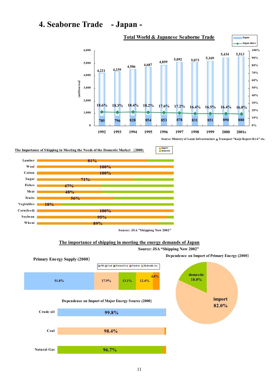# **4. Seaborne Trade - Japan -**



**import domestic**

**Sourse: Ministry of Land, Infrastructure** &**Transport "Kaiji Report H.14" etc.**

#### **The Importance of Shipping in Meeting the Needs of the Domestic Market** (**2000**)



**Source: JSA "Shipping Now 2002"**

#### **The importance of shipping in meeting the energy demands of Japan**



**Source: JSA "Shipping Now 2002"** 

**Dependence on Import of Primary Energy (2000**)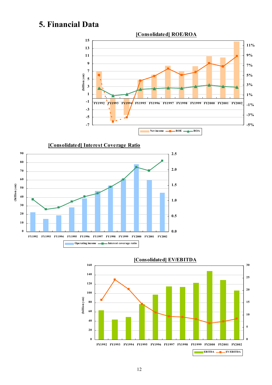# **5. Financial Data**





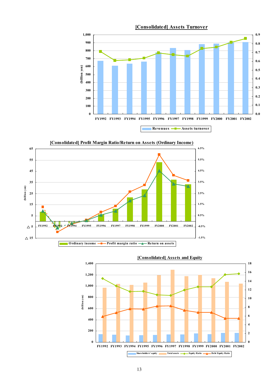



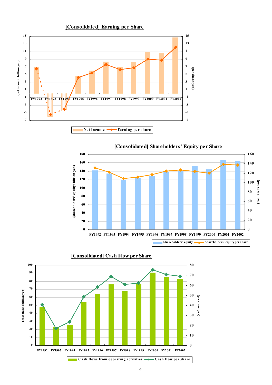





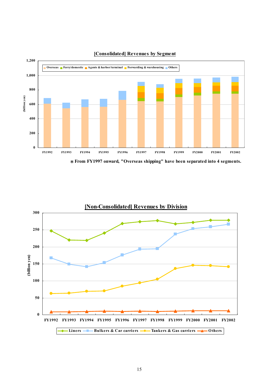

#### **[Consolidated] Revenues by Segment**



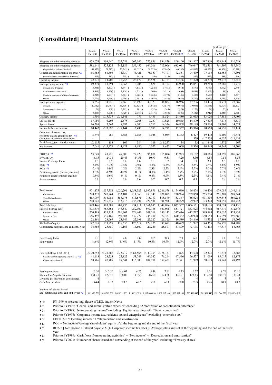## **[Consolidated] Financial Statements**

|                                                                           |                    |                    |                   |                    |                    |                    |                                                                                                                                                            |                      |                    | (million yen)      |                        |
|---------------------------------------------------------------------------|--------------------|--------------------|-------------------|--------------------|--------------------|--------------------|------------------------------------------------------------------------------------------------------------------------------------------------------------|----------------------|--------------------|--------------------|------------------------|
|                                                                           | '93.3.31           | '94.3.31           | '95.3.31          | 96.3.31            | '97.3.31           | '98.3.31           | '99.3.31                                                                                                                                                   | '00.3.31             | '01.3.31           | '02.3.31           | '03.3.31               |
|                                                                           | FY1992             | FY1993             | FY1994            | FY1995             | FY1996             | FY1997             | FY1998*1                                                                                                                                                   | FY1999               | FY2000             | FY2001             | FY2002                 |
|                                                                           | 673,074            | 608,640            | 635,284           | 662,046            | 777,896            | 834,879            | 809,160                                                                                                                                                    | 881,807              | 887,866            | 903,943            | 910,288                |
| Shipping and other operating revenues                                     |                    |                    | 542,189           | 559,452            | 664,016            |                    | 683,041                                                                                                                                                    | 746,047              |                    |                    |                        |
| Shipping and other operating expenses                                     | 582,141<br>41,072) | 525,125<br>29,212  | 30,245            | 49,057)            | 58,275)            | 713,006<br>67,842  | 60,387)                                                                                                                                                    | 61,862)              | 732,511<br>69,826  | 761,507<br>68,826) | 787,540<br>60,710)     |
| (Depreciation and amortization)<br>General and administrative expenses *2 | 68,355             | 68,806             | 74,339            | 74,421             | 75,353             | 74,707             | 72,581                                                                                                                                                     | 74,439               | 77,115             | 82,663             | 77,391                 |
| (amortization of consolidation difference)                                | 361)               | 387)               | 208)              | 143)               | 59)                | 513)               | 563)                                                                                                                                                       | 582)                 | 663                | 588)               | 446)                   |
| Operating income                                                          | 22,577             | 14,708             | 18,755            | 28,172             | 38.526             | 47,164             | 53,536                                                                                                                                                     | 61,320               | 78,239             | 59.772             | 45,356                 |
|                                                                           | 19,379             | 13,594             | 17,363            | 8,706              | 8,628              | 11,182             | 14,900                                                                                                                                                     | 15,051               | 19,218             | 12,580             | 11,718                 |
| Non-operating income *3<br>Interests and dividends                        | $8,035$ )          | $5,193$ )          | 5,647)            | $4,672$ )          | $4,252$ )          | $5,481$ $()$       | $4,014$ )                                                                                                                                                  | 4,439                | $3,550$ $($        | 3,372)             | 2,840)                 |
| Profits on sale of securities                                             | 8,619)             | 4,128)             | 8,458)            | $1,351$ $($        | $206$ )            | $3,211$ $($        | 1,669)                                                                                                                                                     | 4,481)               | 6,309              | 49)                | $\left( 0\right)$      |
|                                                                           | $2,925$ $($        | 2,081              | 4,504)            | $4,023$ $($        | $5,024$ )          | $3,473$ )          | 4,126                                                                                                                                                      | 1,403)               | 3,680)             | 4,426              | 3,387)                 |
| Equity in earnings of affiliated companies<br>Others                      | 2,724)             | 4,269)             | 3,256             | 2,681              | 4,167              | 2,488)             | 5,089)                                                                                                                                                     | 4,727)               | 5,677              | 4,731)             | 5,490                  |
| Non-operating expenses                                                    | 33,256             | 34,040             | 37,660            | 36,099             | 40,723             | 46,822             | 46,956                                                                                                                                                     | 47,736               | 44,436             | 34,971             | 23,669                 |
| Interests                                                                 | 29,342)            | $27,781$ $($       | 31,636)           | 33,838) (          | 37,842             | 42,519) (          | 40,070)                                                                                                                                                    | 39,085)              | $39,465$ )         | 32,104             | 21,103)                |
| Losses on sale of securities                                              | 56)                | $160$ )            | 1,202)            | 181)               | 132)               | 345(               | 2,379)                                                                                                                                                     | 1,227                | 28)                | 25)                | $\left 0\right\rangle$ |
| Others                                                                    | 3,856)             | 6,098              | 4,820)            | 2,078)             | 2,747              | 3,958)             | 4,506)                                                                                                                                                     | 7,422                | 4,942)             | 2,840)             | 2,566)                 |
| Ordinary income                                                           | 8,701              | $\triangle$ 5.737  | 1,541<br>Λ        | 779                | 6,431              | 11,524             | 21,480                                                                                                                                                     | 28,635               | 53,020             | 37,381             | 33,404                 |
|                                                                           | 17,950             |                    | 2,678             | 10,008             |                    | 17,629             | 10,665                                                                                                                                                     | 14,879               | 27,605             |                    |                        |
| Special profits<br>Special losses                                         | 16,209             | 6,205<br>7,563     | 8,282             | 8,300              | 7,267<br>9,712     | 14,374             | 16,808                                                                                                                                                     | 28,199               | 59,765             | 7,178<br>19,709    | 6,330<br>14,621        |
|                                                                           |                    |                    |                   |                    |                    |                    |                                                                                                                                                            |                      |                    |                    |                        |
| Income before income tax                                                  | 10.442             | $\triangle$ 7.095  | 7.144<br>Δ        | 2,487              | 3,987              | 14,779             | 15,337                                                                                                                                                     | 15,314               | 20,860             | 24,850             | 25,114                 |
| Corporate income tax,                                                     | 5,849              | 767                | 1,684             | 2,065              | 3,048              | 8,059              | 8,362                                                                                                                                                      | 6,427                | 19,472             | 6,100              | 10,871                 |
| residents tax and enterprise tax *4<br>Corporate income tax adjustment    |                    |                    |                   |                    |                    |                    |                                                                                                                                                            | 529                  | $\triangle$ 7.708  | 6,632              | 1.434<br>Δ             |
| Profit/loss( $\Delta$ ) on minority interest                              | $\triangle$ 115    | 188                | 109               | 384                | 169                | $\triangle$ 1.257  | 34                                                                                                                                                         | 33                   | $\triangle$ 1,846  | 1,572              | 967                    |
|                                                                           |                    |                    |                   |                    |                    |                    |                                                                                                                                                            |                      |                    |                    | 14,709                 |
| Net income                                                                | 7,041              | $\triangle$ 5.979  | $\triangle$ 4,423 | 4,686              | 6,072              | 8,422              | 7,009                                                                                                                                                      | 8,324                | 10,943             | 10,544             |                        |
|                                                                           |                    |                    |                   |                    |                    |                    |                                                                                                                                                            |                      |                    |                    |                        |
| EBITDA *5                                                                 | 63,649             | 43,920             | 49,000            | 77,229             | 96,801             | 115,006            | 113,923                                                                                                                                                    | 123,182              | 148.065            | 128,598            | 106,066                |
| <b>EV/EBITDA</b>                                                          | 16.15              | 24.31              | 20.43             | 14.51              | 10.93              | 9.51               | 9.20                                                                                                                                                       | 8.30                 | 6.54               | 7.54               | 8.53                   |
| <b>Interest Coverage Ratio</b>                                            | 1.0                | 0.7                | 0.8               | 1.0                | 1.1                | 1.2                | 1.4                                                                                                                                                        | 1.7                  | 2.1                | 2.0                | 2.3                    |
| $ROE * 6$                                                                 | 5.0%               | $-4.3%$            | $-3.5%$           | 3.9%               | 4.8%               | 6.3%               | 5.0%                                                                                                                                                       | 5.6%                 | 7.4%               | 6.8%               | 8.9%                   |
| $ROA *7$                                                                  | 2.4%               | 0.9%               | 1.2%              | 2.2%               | 2.3%               | 2.5%               | 2.4%                                                                                                                                                       | 2.7%                 | 3.0%               | 2.7%               | 2.6%                   |
| Profit margin ratio (ordinary income)                                     | 1.3%               | $-0.9\%$           | $-0.2%$           | 0.1%               | 0.8%               | 1.4%               | 2.7%                                                                                                                                                       | 3.2%                 | 6.0%               | 4.1%               | 3.7%                   |
| Return on assets (ordinary income)                                        | 0.9%               | $-0.6%$            | $-0.1%$           | 0.1%               | 0.6%               | 0.9%               | 1.8%                                                                                                                                                       | 2.3%                 | 4.5%               | 3.4%               | 3.1%                   |
| Assets turnover                                                           | 0.7                | 0.6                | 0.6               | 0.6                | 0.7                | 0.7                | 0.7                                                                                                                                                        | 0.7                  | 0.8                | 0.8                | 0.9                    |
|                                                                           |                    |                    |                   |                    |                    |                    |                                                                                                                                                            |                      |                    |                    |                        |
| Total assets                                                              | 971,475            | 1,037,584          | 1,020,291         | 1,058,325          | 1,190,871          | 1,286,576          | 1,174,640                                                                                                                                                  | 1,196,474            | 1,140,400          | 1,079,089          | 1,046,611              |
|                                                                           | 228,337            | 247,964            | 233,101           | 211,360            | 250,147            | 276,089            | 230,994                                                                                                                                                    | 239,858              | 255,774            | 251,387            | 289,644                |
| Current assets                                                            | 465,097            | 514,081            | 553,975           | 613,671            | 718,193            | 818,579            | 753,347                                                                                                                                                    | 756,624              | 691,306            | 619,645            | 569,234                |
| Tangible fixed assets<br>Others                                           | 278,041            | 275,539            | 233,215           | 233,294            | 222,531            | 191,908            | 190,299                                                                                                                                                    | 199.992              | 193,320            | 208,057            | 187,733                |
|                                                                           |                    | 903,587            | 901,736           | 934,811            | 1,061,695          | 1,148,884          | 1,027,367                                                                                                                                                  |                      |                    |                    |                        |
| <b>Total liabilities</b>                                                  | 829,446<br>673,679 | 763,364            | 748,549           | 782,100            | 897,786            | 943,078            | 857,121                                                                                                                                                    | 1,036,561<br>833,625 | 988,685<br>744,612 | 908,624<br>667,719 | 874,130<br>612,646     |
| (Interest-bearing debt)<br>Current liabilities                            | 250,488            | 335,353            | 286,303           | 279,443            | 301,268            | 350,132            | 337,416                                                                                                                                                    | 412,717              | 399,995            | 375,032            | 423,837                |
| Long-term debt                                                            | 556,497            | 545,167            | 591,484           | 632,777            | 735,100            | 772,427            | 670,362                                                                                                                                                    | 598,998              | 540,158            | 475,694            | 395,588                |
| Others                                                                    | 22,461             | 23,067             | 23,949            | 22,591             | 25,327             | 26,325             | 19,589                                                                                                                                                     | 24,846               | 48,532             | 57,898             | 54,705                 |
| Sharholders' equity                                                       | 142,028            | 133,997            | 118,555           | 123,514            | 129.175            | 137,691            | 140,489                                                                                                                                                    | 151,992              | 144,355            | 166,970            | 164.789                |
| Consolidated surplus at the end of the year                               | 34,856             | 25,659             | 10,163            | 14,609             | 20,269             | 28,577             | 37,899                                                                                                                                                     | 43,198               | 43,433             | 47,817             | 56,468                 |
|                                                                           |                    |                    |                   |                    |                    |                    |                                                                                                                                                            |                      |                    |                    |                        |
|                                                                           |                    |                    |                   |                    |                    |                    |                                                                                                                                                            |                      |                    |                    |                        |
| Debt Equity Ratio                                                         | 5.8                | 6.7                | 7.6               | 7.6                | 8.2                | 8.3                | 7.3                                                                                                                                                        | 6.8                  | 6.8                | 5.4                | 5.4                    |
| <b>Equity Ratio</b>                                                       | 14.6%              | 12.9%              | 11.6%             | 11.7%              | 10.8%              | 10.7%              | 12.0%                                                                                                                                                      | 12.7%                | 12.7%              | 15.5%              | 15.7%                  |
|                                                                           |                    |                    |                   |                    |                    |                    |                                                                                                                                                            |                      |                    |                    |                        |
|                                                                           |                    |                    |                   |                    |                    |                    |                                                                                                                                                            |                      |                    |                    |                        |
| Free cash flows $[ (a) - (b) ]$                                           | $\triangle$ 20,853 | $\triangle$ 28,885 | $\triangle$ 3,719 | $\triangle$ 61,565 | $\triangle$ 40,354 | $\triangle$ 76,187 | 1,825                                                                                                                                                      | 14,598               | 22,321             | 41,274             | 33,382                 |
| Cash flows from operating activities (a) $*8$                             | 48,113             | 23,233             | 25,822            | 53,743             | 64,347             | 76,264             | 67,396                                                                                                                                                     | 76,577               | 91,019             | 85,015             | 82,875                 |
| Capital expenditure (b)                                                   | 68,966             | 47,789             | 29,541            | 115,308            | 104,701            | 152,451            | 65,571                                                                                                                                                     | 61,979               | 68,698             | 43,741             | 49,493                 |
|                                                                           |                    |                    |                   |                    |                    |                    |                                                                                                                                                            |                      |                    |                    |                        |
|                                                                           |                    |                    |                   |                    |                    |                    |                                                                                                                                                            |                      |                    |                    |                        |
| Earning per share                                                         | 6.50               | $\triangle$ 5.50   | $\triangle$ 4.03  | 4.27               | 5.49               | 7.61               | 6.33                                                                                                                                                       | 6.77                 | 9.01               | 8.76               | 12.16                  |
| Shareholders' equity per share                                            | 131.21             | 122.18             | 108.08            | 111.58             | 116.69             | 124.28             | 126.81                                                                                                                                                     | 123.63               | 119.88             | 138.78             | 137.44                 |
| Dividend per share (non-consolidated)                                     | $\overline{4}$     |                    |                   |                    |                    |                    | 4                                                                                                                                                          |                      |                    |                    |                        |
| Cash flow per share                                                       | 44.4               | 21.2               | 23.5              | 48.5               | 58.1               | 68.8               | 60.8                                                                                                                                                       | 62.3                 | 75.6               | 70.7               | 69.2                   |
|                                                                           |                    |                    |                   |                    |                    |                    |                                                                                                                                                            |                      |                    |                    |                        |
| Number of shares issued                                                   |                    |                    |                   |                    |                    |                    |                                                                                                                                                            |                      |                    |                    |                        |
| and outstanding at the end of the year *9                                 |                    |                    |                   |                    |                    |                    | 1,0082,412,750 1,006,702,361 1,006,931,233 1,106,997,254 1,107,006,056 1,107,917,146 1,107,917,146 1,229,410,445 1,205,410,445 1,203,344,220 1,200,874,262 |                      |                    |                    |                        |

\*1: FY1999 to present: total figure of MOL and ex-Navix

\*2: Prior to FY1998: "General and administrative expenses" excluding "Amortization of consolidation difference"

\*3: Prior to FY1998: "Non-operating income" excluding "Equity in earnings of affiliated companies"<br>
\*4: Prior to FY1998: "Corporate income tax, residents tax and enterprise tax" excluding "enterprise ta \*4: Prior to FY1998: "Corporate income tax, residents tax and enterprise tax" excluding "enterprise tax"

\*5: EBITDA = "Operating income" + "Depreciation and amortization"

 $*6$ : ROE = Net income/Average shareholders' equity of at the beginning and the end of the fiscal year

\*7: ROA = [ Net income + Interest payable X (1- Corporate income tax rate) ] / Average total assets of at the beginning and the end of the fiscal year

\*8: Prior to FY1999: "Cash flows from operating activities" = "Net income" + "Depreciation and amortization"

\*9: Prior to FY2001: "Number of shares issued and outstanding at the end of the year" excluding "Treasury shares"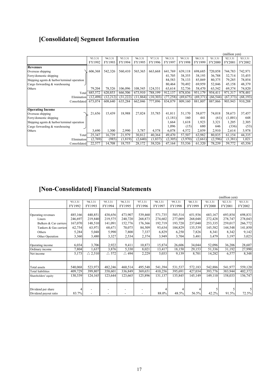# **[Consolidated] Segment Information**

|                                               |           |          |          |           |          |           |           |           |               | (million yen) |           |
|-----------------------------------------------|-----------|----------|----------|-----------|----------|-----------|-----------|-----------|---------------|---------------|-----------|
|                                               | 93.3.31   | 94.3.31  | 95.3.31  | 96.3.31   | '97.3.31 | '98.3.31  | '99.3.31  | '00.3.31  | '01.3.31      | '02.3.31      | '03.3.31  |
|                                               | FY1992    | FY1993   | FY1994   | FY1995    | FY1996   | FY1997    | FY1998    | FY1999    | <b>FY2000</b> | FY2001        | FY2002    |
| <b>Revenues</b>                               |           |          |          |           |          |           |           |           |               |               |           |
| Overseas shipping                             | 606,368   | 542,326  | 560,410  | 565,365   | 663,668  | 641,769   | 639,118   | 698,685   | 720,858       | 744,783       | 742,971   |
| Ferry/domestic shipping                       |           |          |          |           |          | 41,705    | 38,355    | 38,193    | 36,788        | 32,714        | 33,455    |
| Shipping agents $&$ harbor/terminal operation |           |          |          |           |          | 84,583    | 78,133    | 85,869    | 80,375        | 79,285        | 78,854    |
| Cargo forwarding & warehousing                |           |          |          |           |          | 80,464    | 70,492    | 69,959    | 52,846        | 45,158        | 48,379    |
| Others                                        | 79,204    | 78,526   | 106,096  | 108,545   | 124,531  | 63,614    | 52,736    | 58,470    | 63,542        | 69,374        | 74,820    |
| Total                                         | 685,572   | 620,853  | 666,506  | 673,910   | 788,199  | 912,137   | 878,836   | 951,179   | 954,411       | 971,317       | 978,481   |
| Elimination                                   | (12, 498) | (12,212) | (31,222) | (11, 864) | (10,303) | (77, 258) | (69, 675) | (69, 371) | (66, 544)     | (67, 373)     | (68, 193) |
| Consolidated                                  | 673,074   | 608,640  | 635,284  | 662,046   | 777,896  | 834,879   | 809,160   | 881,807   | 887,866       | 903,943       | 910,288   |
| <b>Operating Income</b>                       |           |          |          |           |          |           |           |           |               |               |           |
| Overseas shipping                             | 21,656    | 15,439   | 18,988   | 27,024    | 35,785   | 41,811    | 51,170    | 58,077    | 74,018        | 58,673        | 37,457    |
| Ferry/domestic shipping                       |           |          |          |           |          | (1,181)   | 160       | 441       | (61)          | (1,001)       | 648       |
| Shipping agents $&$ harbor/terminal operation |           |          |          |           |          | 1,664     | 1,618     | 1,923     | 3,321         | 1,205         | 2,305     |
| Cargo forwarding $&$ warehousing              |           |          |          |           |          | 1,096     | (15)      | 680       | 646           | (336)         | (53)      |
| Others                                        | 3,690     | 1,300    | 2,990    | 3,787     | 4,578    | 6,078     | 4,572     | 2,859     | 2,910         | 2,614         | 3,978     |
| Total                                         | 25,347    | 16,739   | 21,979   | 30,812    | 40,364   | 49,470    | 57,507    | 63,982    | 80,835        | 61,154        | 44,335    |
| Elimination                                   | (2,769)   | (985)    | (1, 819) | (2,640)   | (1,837)  | (2,305)   | (3,970)   | (2,661)   | (2, 596)      | (1, 381)      | 1,021     |
| Consolidated                                  | 22,577    | 14,708   | 18,755   | 28,172    | 38,526   | 47,164    | 53,536    | 61,320    | 78,239        | 59,772        | 45,356    |

# **[Non-Consolidated] Financial Statements**

|                          |         |                   |                 |                 |          |          |          |          |               | (million yen) |          |
|--------------------------|---------|-------------------|-----------------|-----------------|----------|----------|----------|----------|---------------|---------------|----------|
|                          | 93.3.31 | 94.3.31           | 95.3.31         | 96.3.31         | '97.3.31 | '98.3.31 | '99.3.31 | '00.3.31 | '01.3.31      | '02.3.31      | '03.3.31 |
|                          | FY1992  | FY1993            | FY1994          | FY1995          | FY1996   | FY1997   | FY1998   | FY1999   | <b>FY2000</b> | FY2001        | FY2002   |
|                          |         |                   |                 |                 |          |          |          |          |               |               |          |
| Operating revenues       | 485,166 | 440,851           | 438,656         | 473,907         | 539,460  | 571,735  | 585,514  | 651,936  | 683,167       | 693,854       | 698,831  |
| Liners                   | 246,697 | 219,840           | 219,575         | 240,720         | 268,873  | 274,602  | 277,009  | 268,048  | 272,428       | 278,747       | 278,043  |
| Bulkers & Car carriers   | 167,070 | 148,510           | 141,091         | 152,776         | 176,366  | 192,719  | 193,720  | 237,040  | 253,335       | 259,017       | 266,772  |
| Tankers & Gas carriers   | 62,754  | 63,971            | 68,671          | 70,075          | 84,509   | 93,634   | 104,829  | 135,539  | 145,582       | 144,548       | 141,850  |
| Others                   | 5,284   | 5,048             | 5,990           | 7,800           | 7,337    | 6,829    | 6,250    | 7,826    | 8,341         | 8,342         | 9,142    |
| Other Operation          | 3,360   | 3,480             | 3,327           | 2,534           | 2,374    | 3,949    | 3,704    | 3,481    | 3,479         | 3,197         | 3,023    |
|                          |         |                   |                 |                 |          |          |          |          |               |               |          |
| Operating income         | 6,034   | 3,706             | 2,922           | 9,411           | 10,873   | 15,874   | 26,606   | 34,044   | 52,096        | 36,206        | 28,607   |
| Ordinary income          | 7,804   | 1,637             | 3,876           | 5,330           | 8,021    | 13,417   | 18,150   | 29,153   | 51,336        | 31,192        | 27,990   |
| Net income               | 5,173   | $\triangle$ 2,510 | $\triangle$ 572 | $\triangle$ 494 | 2,229    | 5,033    | 9,139    | 8,701    | 14,282        | 6,577         | 8,348    |
|                          |         |                   |                 |                 |          |          |          |          |               |               |          |
| Total assets             | 540,068 | 523,973           | 482,246         | 460,514         | 495,548  | 541,394  | 531,537  | 572,183  | 542,886       | 541,977       | 559,120  |
| <b>Total liabilities</b> | 409,729 | 399,807           | 358,601         | 336,849         | 369,651  | 410,256  | 395,691  | 427,034  | 393,776       | 383,944       | 402,372  |
| Shareholders' equity     | 130,339 | 124,165           | 123,644         | 123,665         | 125,896  | 131,137  | 135,845  | 145,149  | 149,110       | 158,033       | 156,747  |
|                          |         |                   |                 |                 |          |          |          |          |               |               |          |
| Dividend per share       |         |                   |                 |                 |          |          |          |          |               |               | 5        |
| Dividend payout ratio    | 83.7%   |                   |                 |                 |          | 88.0%    | 48.5%    | 56.5%    | 42.2%         | 91.5%         | 72.5%    |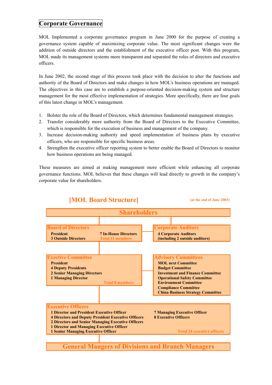### **Corporate Governance**

MOL Implemented a corporate governance program in June 2000 for the purpose of creating a governance system capable of maximizing corporate value. The most significant changes were the addition of outside directors and the establishment of the executive officer post. With this program, MOL made its management systems more transparent and separated the roles of directors and executive officers.

In June 2002, the second stage of this process took place with the decision to alter the functions and authority of the Board of Directors and make changes in how MOL's business operations are managed. The objectives in this case are to establish a purpose-oriented decision-making system and structure management for the most effective implementation of strategies. More specifically, there are four goals of this latest change in MOL's management.

- 1. Bolster the role of the Board of Directors, which determines fundamental management strategies.
- 2. Transfer considerably more authority from the Board of Directors to the Executive Committee, which is responsible for the execution of business and management of the company.
- 3. Increase decision-making authority and speed implementation of business plans by executive officers, who are responsible for specific business areas.
- 4. Strengthen the executive officer reporting system to better enable the Board of Directors to monitor how business operations are being managed.

These measures are aimed at making management more efficient while enhancing all corporate governance functions. MOL believes that these changes will lead directly to growth in the company's corporate value for shareholders.